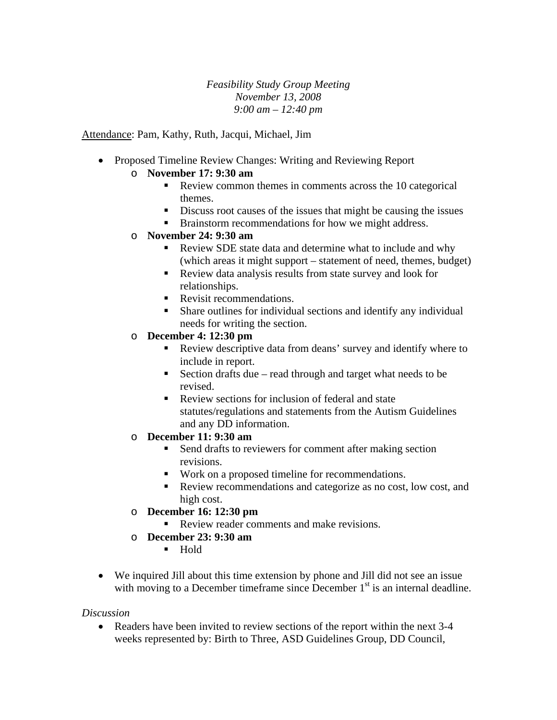*Feasibility Study Group Meeting November 13, 2008 9:00 am – 12:40 pm* 

Attendance: Pam, Kathy, Ruth, Jacqui, Michael, Jim

- Proposed Timeline Review Changes: Writing and Reviewing Report
	- o **November 17: 9:30 am** 
		- Review common themes in comments across the 10 categorical themes.
		- Discuss root causes of the issues that might be causing the issues
		- **Brainstorm recommendations for how we might address.**
	- o **November 24: 9:30 am** 
		- Review SDE state data and determine what to include and why (which areas it might support – statement of need, themes, budget)
		- Review data analysis results from state survey and look for relationships.
		- Revisit recommendations.
		- Share outlines for individual sections and identify any individual needs for writing the section.
	- o **December 4: 12:30 pm** 
		- Review descriptive data from deans' survey and identify where to include in report.
		- Section drafts due read through and target what needs to be revised.
		- Review sections for inclusion of federal and state statutes/regulations and statements from the Autism Guidelines and any DD information.
	- o **December 11: 9:30 am** 
		- Send drafts to reviewers for comment after making section revisions.
		- Work on a proposed timeline for recommendations.
		- Review recommendations and categorize as no cost, low cost, and high cost.
	- o **December 16: 12:30 pm** 
		- Review reader comments and make revisions.
	- o **December 23: 9:30 am** 
		- Hold
- We inquired Jill about this time extension by phone and Jill did not see an issue with moving to a December timeframe since December  $1<sup>st</sup>$  is an internal deadline.

## *Discussion*

• Readers have been invited to review sections of the report within the next 3-4 weeks represented by: Birth to Three, ASD Guidelines Group, DD Council,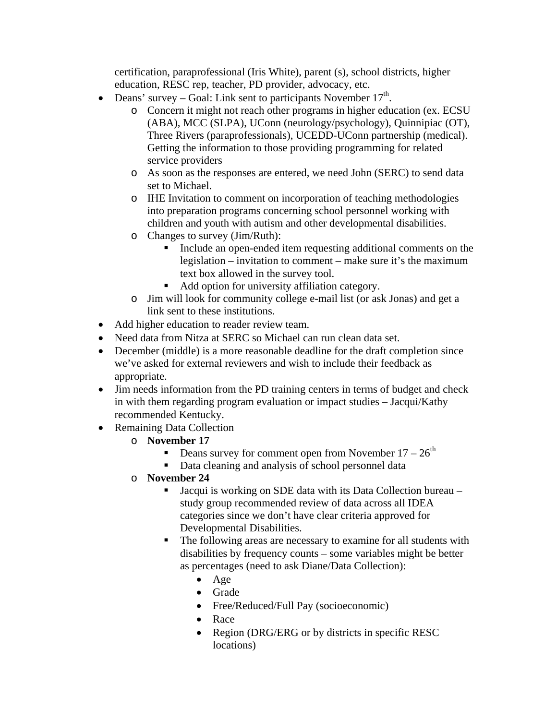certification, paraprofessional (Iris White), parent (s), school districts, higher education, RESC rep, teacher, PD provider, advocacy, etc.

- Deans' survey Goal: Link sent to participants November  $17<sup>th</sup>$ .
	- o Concern it might not reach other programs in higher education (ex. ECSU (ABA), MCC (SLPA), UConn (neurology/psychology), Quinnipiac (OT), Three Rivers (paraprofessionals), UCEDD-UConn partnership (medical). Getting the information to those providing programming for related service providers
	- o As soon as the responses are entered, we need John (SERC) to send data set to Michael.
	- o IHE Invitation to comment on incorporation of teaching methodologies into preparation programs concerning school personnel working with children and youth with autism and other developmental disabilities.
	- o Changes to survey (Jim/Ruth):
		- Include an open-ended item requesting additional comments on the legislation – invitation to comment – make sure it's the maximum text box allowed in the survey tool.
		- Add option for university affiliation category.
	- o Jim will look for community college e-mail list (or ask Jonas) and get a link sent to these institutions.
- Add higher education to reader review team.
- Need data from Nitza at SERC so Michael can run clean data set.
- December (middle) is a more reasonable deadline for the draft completion since we've asked for external reviewers and wish to include their feedback as appropriate.
- Jim needs information from the PD training centers in terms of budget and check in with them regarding program evaluation or impact studies – Jacqui/Kathy recommended Kentucky.
- Remaining Data Collection
	- o **November 17** 
		- **Deans survey for comment open from November 17**  $26<sup>th</sup>$
		- Data cleaning and analysis of school personnel data
	- o **November 24** 
		- Jacqui is working on SDE data with its Data Collection bureau study group recommended review of data across all IDEA categories since we don't have clear criteria approved for Developmental Disabilities.
		- The following areas are necessary to examine for all students with disabilities by frequency counts – some variables might be better as percentages (need to ask Diane/Data Collection):
			- Age
			- Grade
			- Free/Reduced/Full Pay (socioeconomic)
			- Race
			- Region (DRG/ERG or by districts in specific RESC) locations)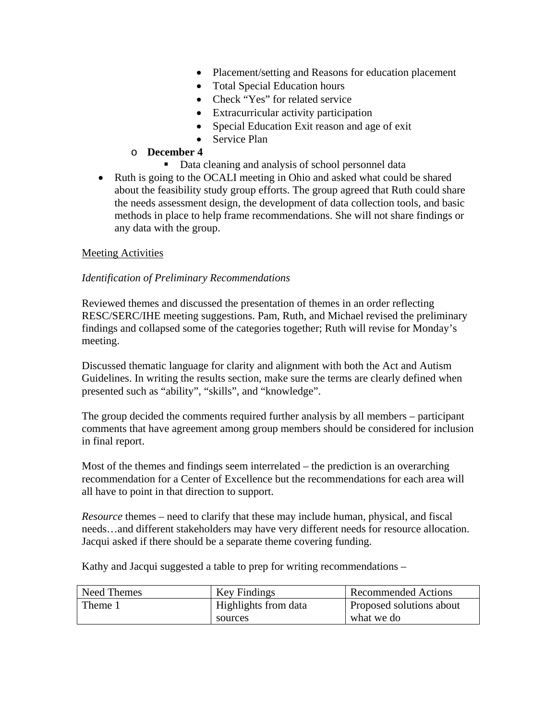- Placement/setting and Reasons for education placement
- Total Special Education hours
- Check "Yes" for related service
- Extracurricular activity participation
- Special Education Exit reason and age of exit
- Service Plan

## o **December 4**

- Data cleaning and analysis of school personnel data
- Ruth is going to the OCALI meeting in Ohio and asked what could be shared about the feasibility study group efforts. The group agreed that Ruth could share the needs assessment design, the development of data collection tools, and basic methods in place to help frame recommendations. She will not share findings or any data with the group.

## Meeting Activities

## *Identification of Preliminary Recommendations*

Reviewed themes and discussed the presentation of themes in an order reflecting RESC/SERC/IHE meeting suggestions. Pam, Ruth, and Michael revised the preliminary findings and collapsed some of the categories together; Ruth will revise for Monday's meeting.

Discussed thematic language for clarity and alignment with both the Act and Autism Guidelines. In writing the results section, make sure the terms are clearly defined when presented such as "ability", "skills", and "knowledge".

The group decided the comments required further analysis by all members – participant comments that have agreement among group members should be considered for inclusion in final report.

Most of the themes and findings seem interrelated – the prediction is an overarching recommendation for a Center of Excellence but the recommendations for each area will all have to point in that direction to support.

*Resource* themes – need to clarify that these may include human, physical, and fiscal needs…and different stakeholders may have very different needs for resource allocation. Jacqui asked if there should be a separate theme covering funding.

Kathy and Jacqui suggested a table to prep for writing recommendations –

| Need Themes | Key Findings         | <b>Recommended Actions</b> |
|-------------|----------------------|----------------------------|
| Theme 1     | Highlights from data | Proposed solutions about   |
|             | sources              | what we do                 |